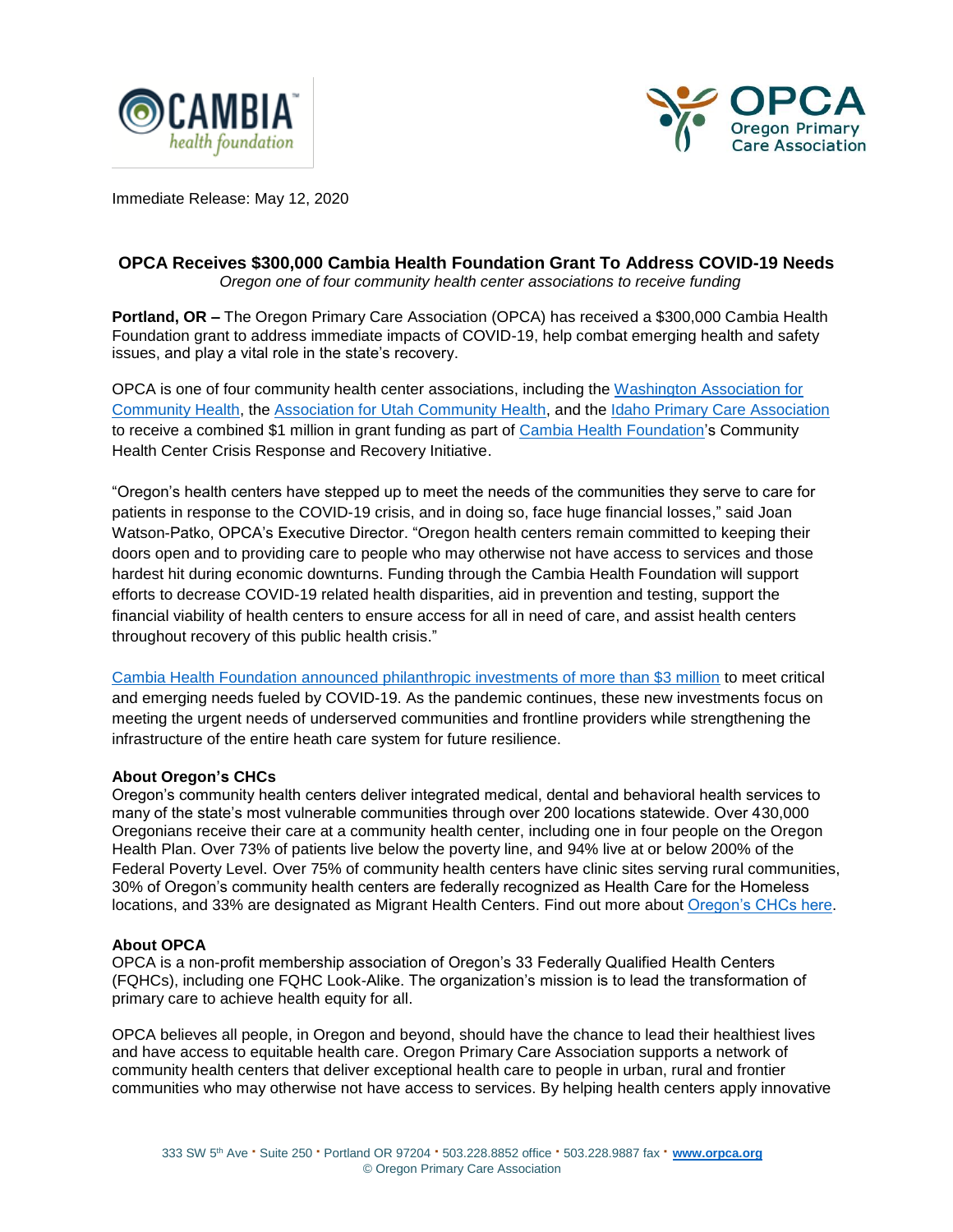



Immediate Release: May 12, 2020

## **OPCA Receives \$300,000 Cambia Health Foundation Grant To Address COVID-19 Needs**

 *Oregon one of four community health center associations to receive funding*

**Portland, OR –** The Oregon Primary Care Association (OPCA) has received a \$300,000 Cambia Health Foundation grant to address immediate impacts of COVID-19, help combat emerging health and safety issues, and play a vital role in the state's recovery.

OPCA is one of four community health center associations, including the [Washington Association for](https://www.wacommunityhealth.org/)  [Community Health,](https://www.wacommunityhealth.org/) the [Association for Utah Community Health,](https://www.auch.org/) and the [Idaho Primary Care Association](http://www.idahopca.org/) to receive a combined \$1 million in grant funding as part of [Cambia Health Foundation'](https://www.cambiahealthfoundation.org/)s Community Health Center Crisis Response and Recovery Initiative.

"Oregon's health centers have stepped up to meet the needs of the communities they serve to care for patients in response to the COVID-19 crisis, and in doing so, face huge financial losses," said Joan Watson-Patko, OPCA's Executive Director. "Oregon health centers remain committed to keeping their doors open and to providing care to people who may otherwise not have access to services and those hardest hit during economic downturns. Funding through the Cambia Health Foundation will support efforts to decrease COVID-19 related health disparities, aid in prevention and testing, support the financial viability of health centers to ensure access for all in need of care, and assist health centers throughout recovery of this public health crisis."

[Cambia Health Foundation announced philanthropic investments of more than \\$3 million](https://www.cambiahealthfoundation.org/posts/news/2020-05-05/cambia-health-foundation-commits-3-million-to-address-c.html) to meet critical and emerging needs fueled by COVID-19. As the pandemic continues, these new investments focus on meeting the urgent needs of underserved communities and frontline providers while strengthening the infrastructure of the entire heath care system for future resilience.

## **About Oregon's CHCs**

Oregon's community health centers deliver integrated medical, dental and behavioral health services to many of the state's most vulnerable communities through over 200 locations statewide. Over 430,000 Oregonians receive their care at a community health center, including one in four people on the Oregon Health Plan. Over 73% of patients live below the poverty line, and 94% live at or below 200% of the Federal Poverty Level. Over 75% of community health centers have clinic sites serving rural communities, 30% of Oregon's community health centers are federally recognized as Health Care for the Homeless locations, and 33% are designated as Migrant Health Centers. Find out more about [Oregon's CHCs here.](https://www.orpca.org/chc/find-a-chc)

## **About OPCA**

OPCA is a non-profit membership association of Oregon's 33 Federally Qualified Health Centers (FQHCs), including one FQHC Look-Alike. The organization's mission is to lead the transformation of primary care to achieve health equity for all.

OPCA believes all people, in Oregon and beyond, should have the chance to lead their healthiest lives and have access to equitable health care. Oregon Primary Care Association supports a network of community health centers that deliver exceptional health care to people in urban, rural and frontier communities who may otherwise not have access to services. By helping health centers apply innovative